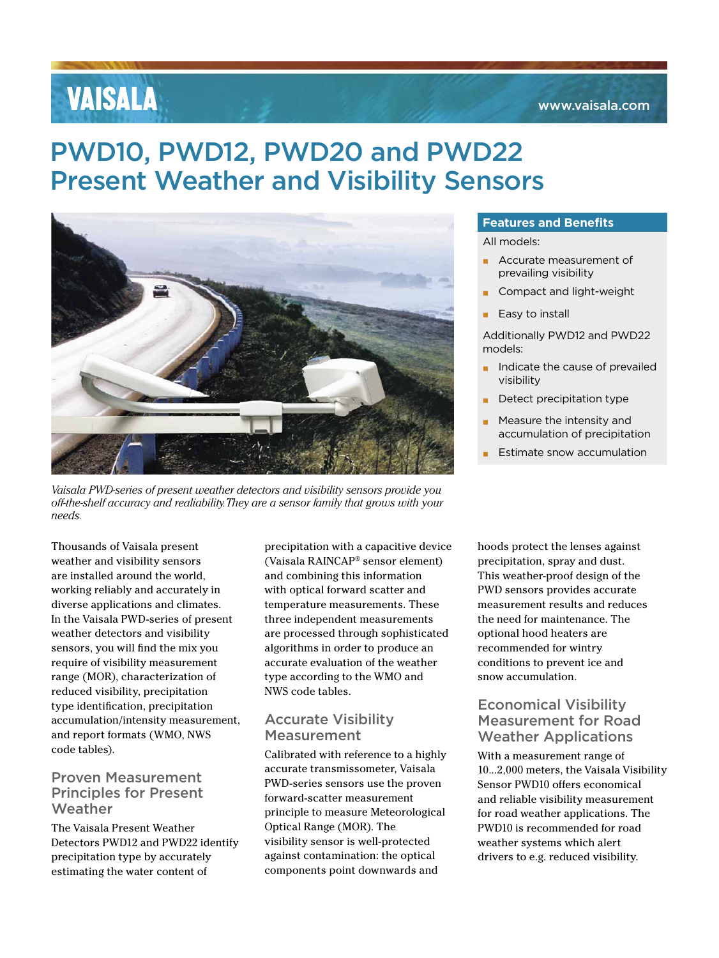### www.vaisala.com

# **VAISALA**

# PWD10, PWD12, PWD20 and PWD22 Present Weather and Visibility Sensors



*Vaisala PWD-series of present weather detectors and visibility sensors provide you off-the-shelf accuracy and realiability. They are a sensor family that grows with your needs.* 

Thousands of Vaisala present weather and visibility sensors are installed around the world, working reliably and accurately in diverse applications and climates. In the Vaisala PWD-series of present weather detectors and visibility sensors, you will find the mix you require of visibility measurement range (MOR), characterization of reduced visibility, precipitation type identification, precipitation accumulation/intensity measurement, and report formats (WMO, NWS code tables).

# Proven Measurement Principles for Present Weather

The Vaisala Present Weather Detectors PWD12 and PWD22 identify precipitation type by accurately estimating the water content of

precipitation with a capacitive device (Vaisala RAINCAP® sensor element) and combining this information with optical forward scatter and temperature measurements. These three independent measurements are processed through sophisticated algorithms in order to produce an accurate evaluation of the weather type according to the WMO and NWS code tables.

# Accurate Visibility Measurement

Calibrated with reference to a highly accurate transmissometer, Vaisala PWD-series sensors use the proven forward-scatter measurement principle to measure Meteorological Optical Range (MOR). The visibility sensor is well-protected against contamination: the optical components point downwards and

### **Features and Benefits**

All models:

- **▪** Accurate measurement of prevailing visibility
- **▪** Compact and light-weight
- **Easy to install**

Additionally PWD12 and PWD22 models:

- $\blacksquare$  Indicate the cause of prevailed visibility
- **Detect precipitation type**
- **▪** Measure the intensity and accumulation of precipitation
- **Estimate snow accumulation**

hoods protect the lenses against precipitation, spray and dust. This weather-proof design of the PWD sensors provides accurate measurement results and reduces the need for maintenance. The optional hood heaters are recommended for wintry conditions to prevent ice and snow accumulation.

# Economical Visibility Measurement for Road Weather Applications

With a measurement range of 10...2,000 meters, the Vaisala Visibility Sensor PWD10 offers economical and reliable visibility measurement for road weather applications. The PWD10 is recommended for road weather systems which alert drivers to e.g. reduced visibility.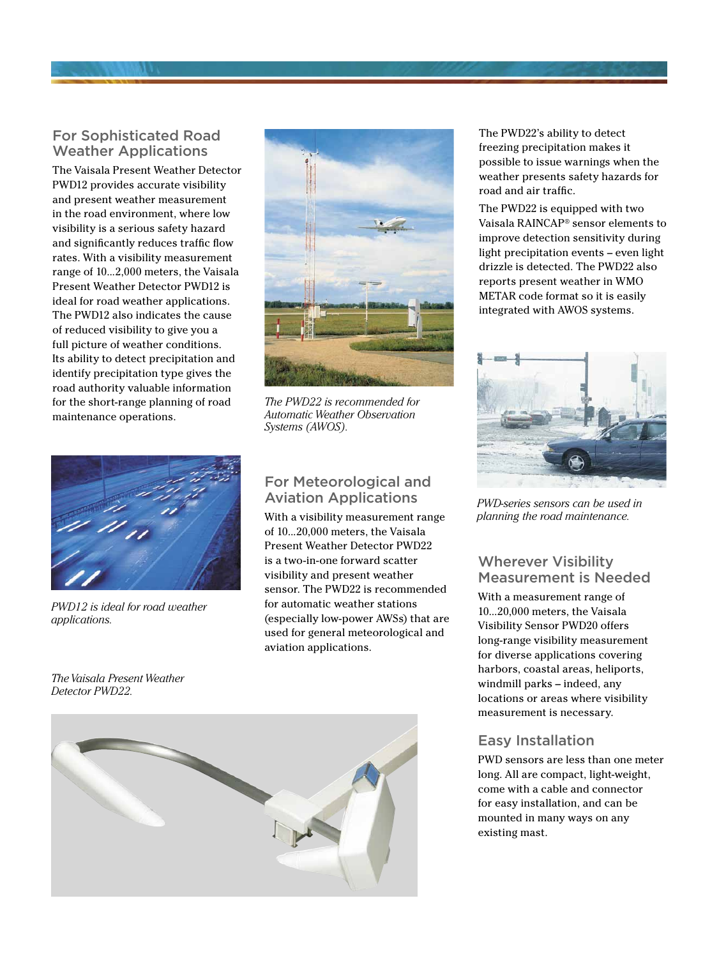# For Sophisticated Road Weather Applications

The Vaisala Present Weather Detector PWD12 provides accurate visibility and present weather measurement in the road environment, where low visibility is a serious safety hazard and significantly reduces traffic flow rates. With a visibility measurement range of 10...2,000 meters, the Vaisala Present Weather Detector PWD12 is ideal for road weather applications. The PWD12 also indicates the cause of reduced visibility to give you a full picture of weather conditions. Its ability to detect precipitation and identify precipitation type gives the road authority valuable information for the short-range planning of road maintenance operations.



*PWD12 is ideal for road weather applications.* 

*The Vaisala Present Weather Detector PWD22.*



*The PWD22 is recommended for Automatic Weather Observation Systems (AWOS).*

# For Meteorological and Aviation Applications

With a visibility measurement range of 10...20,000 meters, the Vaisala Present Weather Detector PWD22 is a two-in-one forward scatter visibility and present weather sensor. The PWD22 is recommended for automatic weather stations (especially low-power AWSs) that are used for general meteorological and aviation applications.



The PWD22's ability to detect freezing precipitation makes it possible to issue warnings when the weather presents safety hazards for road and air traffic.

The PWD22 is equipped with two Vaisala RAINCAP® sensor elements to improve detection sensitivity during light precipitation events – even light drizzle is detected. The PWD22 also reports present weather in WMO METAR code format so it is easily integrated with AWOS systems.



*PWD-series sensors can be used in planning the road maintenance.*

# Wherever Visibility Measurement is Needed

With a measurement range of 10...20,000 meters, the Vaisala Visibility Sensor PWD20 offers long-range visibility measurement for diverse applications covering harbors, coastal areas, heliports, windmill parks – indeed, any locations or areas where visibility measurement is necessary.

# Easy Installation

PWD sensors are less than one meter long. All are compact, light-weight, come with a cable and connector for easy installation, and can be mounted in many ways on any existing mast.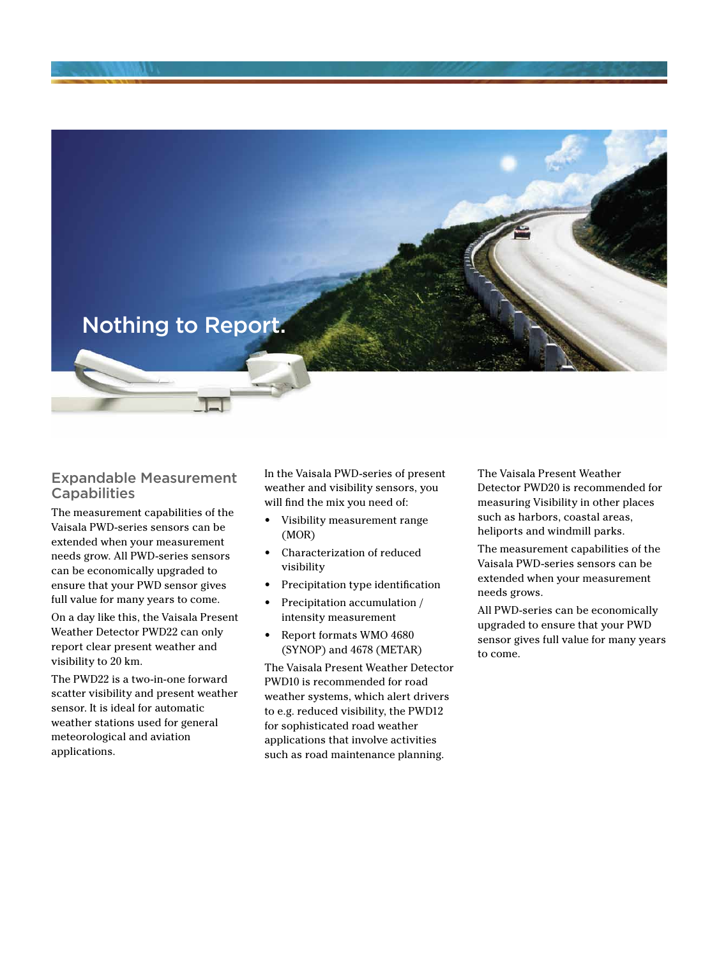Nothing to Report.

### Expandable Measurement **Capabilities**

The measurement capabilities of the Vaisala PWD-series sensors can be extended when your measurement needs grow. All PWD-series sensors can be economically upgraded to ensure that your PWD sensor gives full value for many years to come.

On a day like this, the Vaisala Present Weather Detector PWD22 can only report clear present weather and visibility to 20 km.

The PWD22 is a two-in-one forward scatter visibility and present weather sensor. It is ideal for automatic weather stations used for general meteorological and aviation applications.

In the Vaisala PWD-series of present weather and visibility sensors, you will find the mix you need of:

- Visibility measurement range (MOR)
- Characterization of reduced visibility
- Precipitation type identification
- Precipitation accumulation / intensity measurement
- Report formats WMO 4680 (SYNOP) and 4678 (METAR)

The Vaisala Present Weather Detector PWD10 is recommended for road weather systems, which alert drivers to e.g. reduced visibility, the PWD12 for sophisticated road weather applications that involve activities such as road maintenance planning.

The Vaisala Present Weather Detector PWD20 is recommended for measuring Visibility in other places such as harbors, coastal areas, heliports and windmill parks.

The measurement capabilities of the Vaisala PWD-series sensors can be extended when your measurement needs grows.

All PWD-series can be economically upgraded to ensure that your PWD sensor gives full value for many years to come.